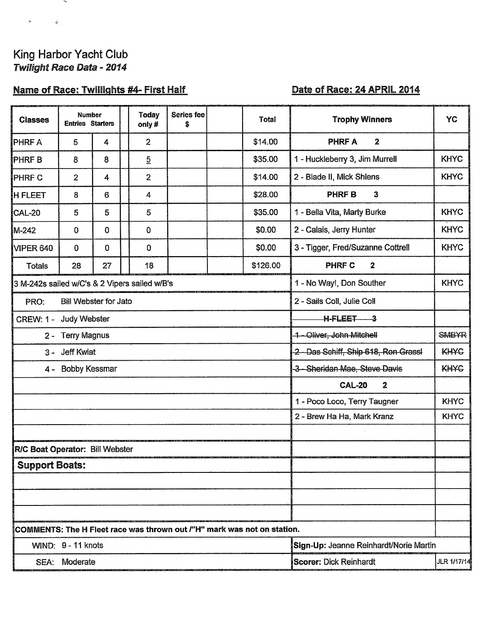# King Harbor Yacht Club<br>Twilight Race Data - 2014

 $\overline{\phantom{0}}$ 

 $\mathbf{S}^{\text{max}}_{\text{max}}$  and  $\mathbf{G}_{\text{max}}$ 

## **Name of Race: Twillights #4- First Half**

## Date of Race: 24 APRIL 2014

| <b>Classes</b>                                                          | <b>Number</b><br><b>Entries Starters</b> |                         |  | <b>Today</b><br>only# | Series fee<br>\$ |                                                     | <b>Total</b>                                | <b>Trophy Winners</b>                   | YC          |  |  |  |
|-------------------------------------------------------------------------|------------------------------------------|-------------------------|--|-----------------------|------------------|-----------------------------------------------------|---------------------------------------------|-----------------------------------------|-------------|--|--|--|
| PHRF A                                                                  | 5                                        | 4                       |  | $\overline{2}$        |                  |                                                     | \$14.00                                     | PHRF A<br>$\boldsymbol{2}$              |             |  |  |  |
| PHRF B                                                                  | 8                                        | 8                       |  | $\overline{5}$        |                  |                                                     | \$35.00                                     | 1 - Huckleberry 3, Jim Murrell          | <b>KHYC</b> |  |  |  |
| <b>PHRF C</b>                                                           | $\overline{2}$                           | $\overline{\mathbf{4}}$ |  | $\overline{2}$        |                  |                                                     | \$14.00                                     | 2 - Blade II, Mick Shlens               | <b>KHYC</b> |  |  |  |
| <b>H FLEET</b>                                                          | 8                                        | 6                       |  | 4                     |                  |                                                     | \$28.00                                     | <b>PHRFB</b><br>$\mathbf{3}$            |             |  |  |  |
| CAL-20                                                                  | 5                                        | 5                       |  | 5                     |                  |                                                     | \$35.00                                     | 1 - Bella Vita, Marty Burke             | <b>KHYC</b> |  |  |  |
| M-242                                                                   | 0                                        | 0                       |  | 0                     |                  |                                                     | \$0.00                                      | 2 - Calais, Jerry Hunter                | <b>KHYC</b> |  |  |  |
| VIPER 640                                                               | 0                                        | $\mathbf 0$             |  | $\mathbf 0$           |                  |                                                     | \$0.00                                      | 3 - Tigger, Fred/Suzanne Cottrell       | <b>KHYC</b> |  |  |  |
| <b>Totals</b>                                                           | 28                                       | 27                      |  | 18                    |                  |                                                     | \$126.00                                    | PHRF C<br>$\mathbf{2}$                  |             |  |  |  |
| 3 M-242s sailed w/C's & 2 Vipers sailed w/B's                           |                                          |                         |  |                       |                  |                                                     | <b>KHYC</b><br>1 - No Way!, Don Souther     |                                         |             |  |  |  |
| PRO:                                                                    | Bill Webster for Jato                    |                         |  |                       |                  |                                                     |                                             | 2 - Sails Coll, Julie Coll              |             |  |  |  |
| CREW: 1 - Judy Webster                                                  |                                          |                         |  |                       |                  | $H - F L E E T$ 3                                   |                                             |                                         |             |  |  |  |
|                                                                         | 2 - Terry Magnus                         |                         |  |                       |                  |                                                     |                                             | <b>SMBYR</b><br>1-Oliver, John Mitchell |             |  |  |  |
| <b>Jeff Kwiat</b><br>$3 -$                                              |                                          |                         |  |                       |                  | 2 - Das Schiff, Ship 618, Ron Grassl<br><b>KHYC</b> |                                             |                                         |             |  |  |  |
| Bobby Kessmar<br>$4 -$                                                  |                                          |                         |  |                       |                  | -3 - Sheridan Mae, Steve Davis                      | <b>KH<sub>X</sub>C</b>                      |                                         |             |  |  |  |
|                                                                         |                                          |                         |  |                       |                  |                                                     | <b>CAL-20</b><br>$\mathbf{2}$               |                                         |             |  |  |  |
|                                                                         |                                          |                         |  |                       |                  |                                                     | <b>KHYC</b><br>1 - Poco Loco, Terry Taugner |                                         |             |  |  |  |
|                                                                         |                                          |                         |  |                       |                  |                                                     |                                             | 2 - Brew Ha Ha, Mark Kranz              | <b>KHYC</b> |  |  |  |
|                                                                         |                                          |                         |  |                       |                  |                                                     |                                             |                                         |             |  |  |  |
| R/C Boat Operator: Bill Webster                                         |                                          |                         |  |                       |                  |                                                     |                                             |                                         |             |  |  |  |
| <b>Support Boats:</b>                                                   |                                          |                         |  |                       |                  |                                                     |                                             |                                         |             |  |  |  |
|                                                                         |                                          |                         |  |                       |                  |                                                     |                                             |                                         |             |  |  |  |
|                                                                         |                                          |                         |  |                       |                  |                                                     |                                             |                                         |             |  |  |  |
|                                                                         |                                          |                         |  |                       |                  |                                                     |                                             |                                         |             |  |  |  |
| COMMENTS: The H Fleet race was thrown out /"H" mark was not on station. |                                          |                         |  |                       |                  |                                                     |                                             |                                         |             |  |  |  |
| WIND: 9 - 11 knots                                                      |                                          |                         |  |                       |                  |                                                     | Sign-Up: Jeanne Reinhardt/Norie Martin      |                                         |             |  |  |  |
| SEA: Moderate                                                           |                                          |                         |  |                       |                  |                                                     | Scorer: Dick Reinhardt<br>JLR 1/17/14       |                                         |             |  |  |  |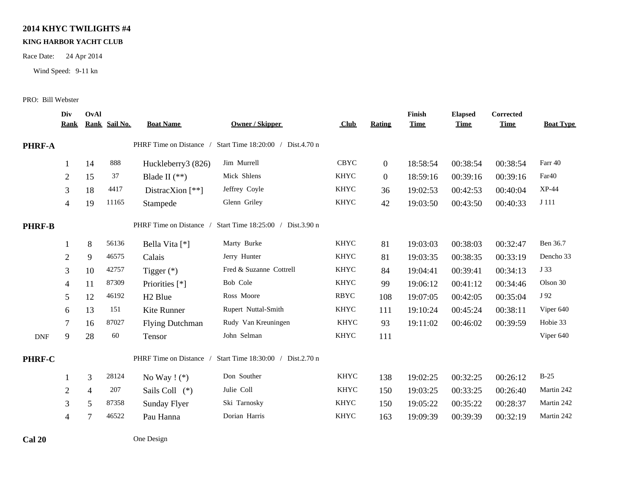### **2014 KHYC TWILIGHTS #4**

#### **KING HARBOR YACHT CLUB**

Race Date: 24 Apr 2014

Wind Speed: 9-11 kn

#### PRO: Bill Webster

|               | Div<br><b>Rank</b> | OvAl           | Rank Sail No. | <b>Boat Name</b>        | <b>Owner / Skipper</b>            | $_{\text{Club}}$ | <b>Rating</b>  | Finish<br><b>Time</b> | <b>Elapsed</b><br><b>Time</b> | <b>Corrected</b><br><b>Time</b> | <b>Boat Type</b>  |
|---------------|--------------------|----------------|---------------|-------------------------|-----------------------------------|------------------|----------------|-----------------------|-------------------------------|---------------------------------|-------------------|
| PHRF-A        |                    |                |               | PHRF Time on Distance / | Start Time 18:20:00 / Dist.4.70 n |                  |                |                       |                               |                                 |                   |
|               | 1                  | 14             | 888           | Huckleberry3 (826)      | Jim Murrell                       | <b>CBYC</b>      | $\overline{0}$ | 18:58:54              | 00:38:54                      | 00:38:54                        | Farr 40           |
|               | $\overline{2}$     | 15             | 37            | Blade II $(**)$         | Mick Shlens                       | <b>KHYC</b>      | $\overline{0}$ | 18:59:16              | 00:39:16                      | 00:39:16                        | Far <sub>40</sub> |
|               | 3                  | 18             | 4417          | DistracXion $[**]$      | Jeffrey Coyle                     | KHYC             | 36             | 19:02:53              | 00:42:53                      | 00:40:04                        | $XP-44$           |
|               | $\overline{4}$     | 19             | 11165         | Stampede                | Glenn Griley                      | <b>KHYC</b>      | 42             | 19:03:50              | 00:43:50                      | 00:40:33                        | J 111             |
| <b>PHRF-B</b> |                    |                |               | PHRF Time on Distance / | Start Time 18:25:00 / Dist.3.90 n |                  |                |                       |                               |                                 |                   |
|               |                    | $8\,$          | 56136         | Bella Vita [*]          | Marty Burke                       | <b>KHYC</b>      | 81             | 19:03:03              | 00:38:03                      | 00:32:47                        | Ben 36.7          |
|               | $\overline{2}$     | 9              | 46575         | Calais                  | Jerry Hunter                      | <b>KHYC</b>      | 81             | 19:03:35              | 00:38:35                      | 00:33:19                        | Dencho 33         |
|               | 3                  | 10             | 42757         | Tigger $(*)$            | Fred & Suzanne Cottrell           | <b>KHYC</b>      | 84             | 19:04:41              | 00:39:41                      | 00:34:13                        | J 33              |
|               | 4                  | 11             | 87309         | Priorities [*]          | Bob Cole                          | <b>KHYC</b>      | 99             | 19:06:12              | 00:41:12                      | 00:34:46                        | Olson 30          |
|               | 5                  | 12             | 46192         | H <sub>2</sub> Blue     | Ross Moore                        | <b>RBYC</b>      | 108            | 19:07:05              | 00:42:05                      | 00:35:04                        | J 92              |
|               | 6                  | 13             | 151           | Kite Runner             | Rupert Nuttal-Smith               | <b>KHYC</b>      | 111            | 19:10:24              | 00:45:24                      | 00:38:11                        | Viper 640         |
|               | 7                  | 16             | 87027         | <b>Flying Dutchman</b>  | Rudy Van Kreuningen               | <b>KHYC</b>      | 93             | 19:11:02              | 00:46:02                      | 00:39:59                        | Hobie 33          |
| <b>DNF</b>    | 9                  | 28             | 60            | Tensor                  | John Selman                       | <b>KHYC</b>      | 111            |                       |                               |                                 | Viper 640         |
| PHRF-C        |                    |                |               | PHRF Time on Distance / | Start Time 18:30:00 / Dist.2.70 n |                  |                |                       |                               |                                 |                   |
|               |                    | 3              | 28124         | No Way $!$ (*)          | Don Souther                       | <b>KHYC</b>      | 138            | 19:02:25              | 00:32:25                      | 00:26:12                        | $B-25$            |
|               | $\overline{2}$     | $\overline{4}$ | 207           | Sails Coll (*)          | Julie Coll                        | <b>KHYC</b>      | 150            | 19:03:25              | 00:33:25                      | 00:26:40                        | Martin 242        |
|               | 3                  | 5              | 87358         | Sunday Flyer            | Ski Tarnosky                      | KHYC             | 150            | 19:05:22              | 00:35:22                      | 00:28:37                        | Martin 242        |
|               | 4                  | 7              | 46522         | Pau Hanna               | Dorian Harris                     | KHYC             | 163            | 19:09:39              | 00:39:39                      | 00:32:19                        | Martin 242        |